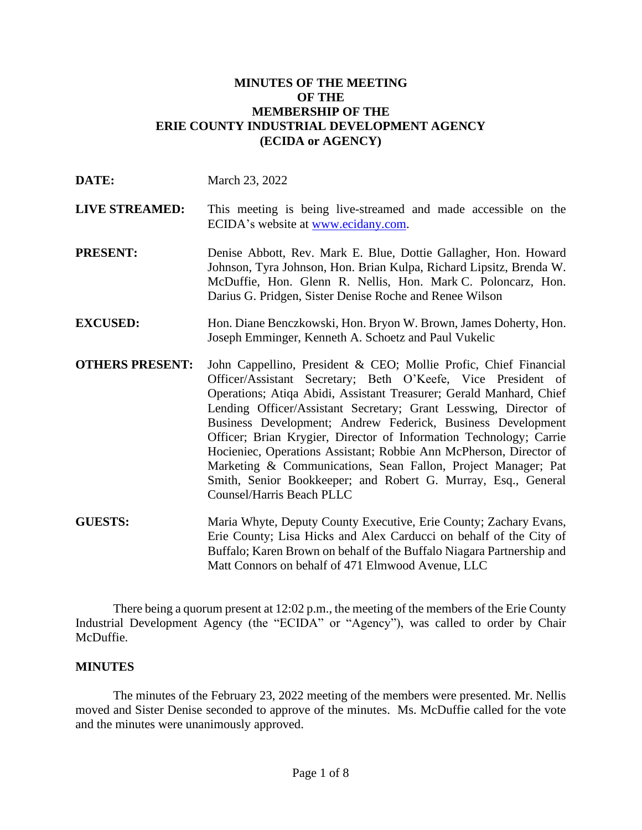#### **MINUTES OF THE MEETING OF THE MEMBERSHIP OF THE ERIE COUNTY INDUSTRIAL DEVELOPMENT AGENCY (ECIDA or AGENCY)**

| DATE:                  | March 23, 2022                                                                                                                                                                                                                                                                                                                                                                                                                                                                                                                                                                                                                                        |
|------------------------|-------------------------------------------------------------------------------------------------------------------------------------------------------------------------------------------------------------------------------------------------------------------------------------------------------------------------------------------------------------------------------------------------------------------------------------------------------------------------------------------------------------------------------------------------------------------------------------------------------------------------------------------------------|
| <b>LIVE STREAMED:</b>  | This meeting is being live-streamed and made accessible on the<br>ECIDA's website at www.ecidany.com.                                                                                                                                                                                                                                                                                                                                                                                                                                                                                                                                                 |
| <b>PRESENT:</b>        | Denise Abbott, Rev. Mark E. Blue, Dottie Gallagher, Hon. Howard<br>Johnson, Tyra Johnson, Hon. Brian Kulpa, Richard Lipsitz, Brenda W.<br>McDuffie, Hon. Glenn R. Nellis, Hon. Mark C. Poloncarz, Hon.<br>Darius G. Pridgen, Sister Denise Roche and Renee Wilson                                                                                                                                                                                                                                                                                                                                                                                     |
| <b>EXCUSED:</b>        | Hon. Diane Benczkowski, Hon. Bryon W. Brown, James Doherty, Hon.<br>Joseph Emminger, Kenneth A. Schoetz and Paul Vukelic                                                                                                                                                                                                                                                                                                                                                                                                                                                                                                                              |
| <b>OTHERS PRESENT:</b> | John Cappellino, President & CEO; Mollie Profic, Chief Financial<br>Officer/Assistant Secretary; Beth O'Keefe, Vice President of<br>Operations; Atiqa Abidi, Assistant Treasurer; Gerald Manhard, Chief<br>Lending Officer/Assistant Secretary; Grant Lesswing, Director of<br>Business Development; Andrew Federick, Business Development<br>Officer; Brian Krygier, Director of Information Technology; Carrie<br>Hocieniec, Operations Assistant; Robbie Ann McPherson, Director of<br>Marketing & Communications, Sean Fallon, Project Manager; Pat<br>Smith, Senior Bookkeeper; and Robert G. Murray, Esq., General<br>Counsel/Harris Beach PLLC |
| <b>GUESTS:</b>         | Maria Whyte, Deputy County Executive, Erie County; Zachary Evans,<br>Erie County; Lisa Hicks and Alex Carducci on behalf of the City of<br>Buffalo; Karen Brown on behalf of the Buffalo Niagara Partnership and<br>Matt Connors on behalf of 471 Elmwood Avenue, LLC                                                                                                                                                                                                                                                                                                                                                                                 |

There being a quorum present at 12:02 p.m., the meeting of the members of the Erie County Industrial Development Agency (the "ECIDA" or "Agency"), was called to order by Chair McDuffie.

## **MINUTES**

The minutes of the February 23, 2022 meeting of the members were presented. Mr. Nellis moved and Sister Denise seconded to approve of the minutes. Ms. McDuffie called for the vote and the minutes were unanimously approved.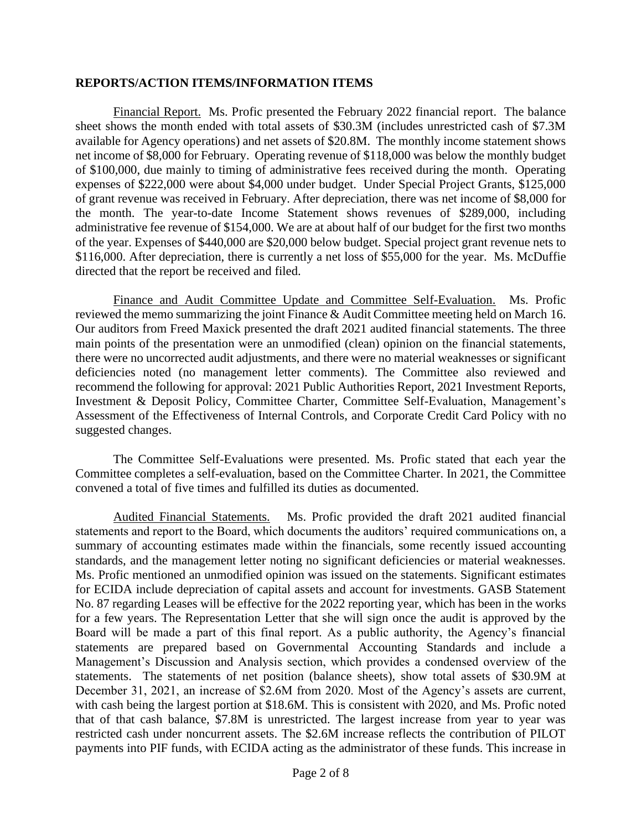#### **REPORTS/ACTION ITEMS/INFORMATION ITEMS**

Financial Report. Ms. Profic presented the February 2022 financial report. The balance sheet shows the month ended with total assets of \$30.3M (includes unrestricted cash of \$7.3M available for Agency operations) and net assets of \$20.8M. The monthly income statement shows net income of \$8,000 for February. Operating revenue of \$118,000 was below the monthly budget of \$100,000, due mainly to timing of administrative fees received during the month. Operating expenses of \$222,000 were about \$4,000 under budget. Under Special Project Grants, \$125,000 of grant revenue was received in February. After depreciation, there was net income of \$8,000 for the month. The year-to-date Income Statement shows revenues of \$289,000, including administrative fee revenue of \$154,000. We are at about half of our budget for the first two months of the year. Expenses of \$440,000 are \$20,000 below budget. Special project grant revenue nets to \$116,000. After depreciation, there is currently a net loss of \$55,000 for the year. Ms. McDuffie directed that the report be received and filed.

Finance and Audit Committee Update and Committee Self-Evaluation. Ms. Profic reviewed the memo summarizing the joint Finance & Audit Committee meeting held on March 16. Our auditors from Freed Maxick presented the draft 2021 audited financial statements. The three main points of the presentation were an unmodified (clean) opinion on the financial statements, there were no uncorrected audit adjustments, and there were no material weaknesses or significant deficiencies noted (no management letter comments). The Committee also reviewed and recommend the following for approval: 2021 Public Authorities Report, 2021 Investment Reports, Investment & Deposit Policy, Committee Charter, Committee Self-Evaluation, Management's Assessment of the Effectiveness of Internal Controls, and Corporate Credit Card Policy with no suggested changes.

The Committee Self-Evaluations were presented. Ms. Profic stated that each year the Committee completes a self-evaluation, based on the Committee Charter. In 2021, the Committee convened a total of five times and fulfilled its duties as documented.

Audited Financial Statements. Ms. Profic provided the draft 2021 audited financial statements and report to the Board, which documents the auditors' required communications on, a summary of accounting estimates made within the financials, some recently issued accounting standards, and the management letter noting no significant deficiencies or material weaknesses. Ms. Profic mentioned an unmodified opinion was issued on the statements. Significant estimates for ECIDA include depreciation of capital assets and account for investments. GASB Statement No. 87 regarding Leases will be effective for the 2022 reporting year, which has been in the works for a few years. The Representation Letter that she will sign once the audit is approved by the Board will be made a part of this final report. As a public authority, the Agency's financial statements are prepared based on Governmental Accounting Standards and include a Management's Discussion and Analysis section, which provides a condensed overview of the statements. The statements of net position (balance sheets), show total assets of \$30.9M at December 31, 2021, an increase of \$2.6M from 2020. Most of the Agency's assets are current, with cash being the largest portion at \$18.6M. This is consistent with 2020, and Ms. Profic noted that of that cash balance, \$7.8M is unrestricted. The largest increase from year to year was restricted cash under noncurrent assets. The \$2.6M increase reflects the contribution of PILOT payments into PIF funds, with ECIDA acting as the administrator of these funds. This increase in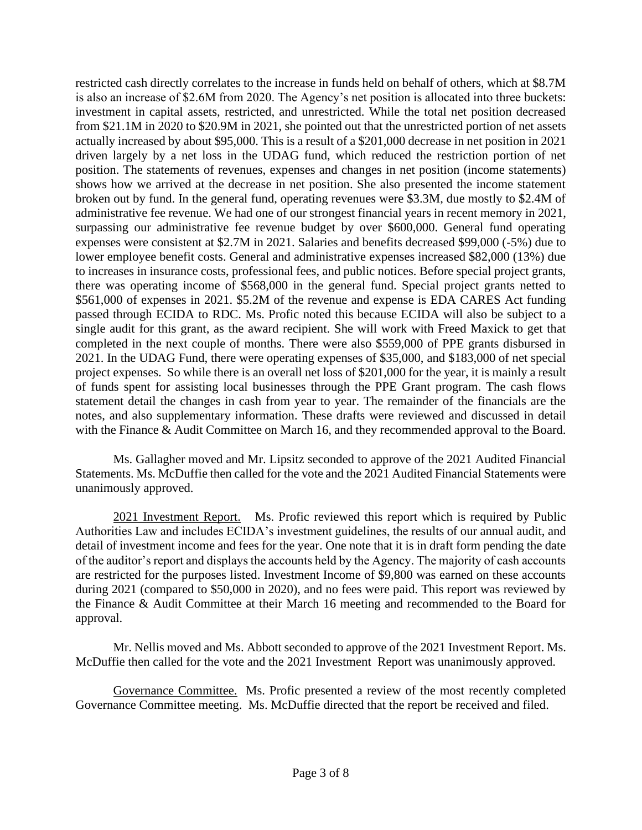restricted cash directly correlates to the increase in funds held on behalf of others, which at \$8.7M is also an increase of \$2.6M from 2020. The Agency's net position is allocated into three buckets: investment in capital assets, restricted, and unrestricted. While the total net position decreased from \$21.1M in 2020 to \$20.9M in 2021, she pointed out that the unrestricted portion of net assets actually increased by about \$95,000. This is a result of a \$201,000 decrease in net position in 2021 driven largely by a net loss in the UDAG fund, which reduced the restriction portion of net position. The statements of revenues, expenses and changes in net position (income statements) shows how we arrived at the decrease in net position. She also presented the income statement broken out by fund. In the general fund, operating revenues were \$3.3M, due mostly to \$2.4M of administrative fee revenue. We had one of our strongest financial years in recent memory in 2021, surpassing our administrative fee revenue budget by over \$600,000. General fund operating expenses were consistent at \$2.7M in 2021. Salaries and benefits decreased \$99,000 (-5%) due to lower employee benefit costs. General and administrative expenses increased \$82,000 (13%) due to increases in insurance costs, professional fees, and public notices. Before special project grants, there was operating income of \$568,000 in the general fund. Special project grants netted to \$561,000 of expenses in 2021. \$5.2M of the revenue and expense is EDA CARES Act funding passed through ECIDA to RDC. Ms. Profic noted this because ECIDA will also be subject to a single audit for this grant, as the award recipient. She will work with Freed Maxick to get that completed in the next couple of months. There were also \$559,000 of PPE grants disbursed in 2021. In the UDAG Fund, there were operating expenses of \$35,000, and \$183,000 of net special project expenses. So while there is an overall net loss of \$201,000 for the year, it is mainly a result of funds spent for assisting local businesses through the PPE Grant program. The cash flows statement detail the changes in cash from year to year. The remainder of the financials are the notes, and also supplementary information. These drafts were reviewed and discussed in detail with the Finance & Audit Committee on March 16, and they recommended approval to the Board.

Ms. Gallagher moved and Mr. Lipsitz seconded to approve of the 2021 Audited Financial Statements. Ms. McDuffie then called for the vote and the 2021 Audited Financial Statements were unanimously approved.

2021 Investment Report. Ms. Profic reviewed this report which is required by Public Authorities Law and includes ECIDA's investment guidelines, the results of our annual audit, and detail of investment income and fees for the year. One note that it is in draft form pending the date of the auditor's report and displays the accounts held by the Agency. The majority of cash accounts are restricted for the purposes listed. Investment Income of \$9,800 was earned on these accounts during 2021 (compared to \$50,000 in 2020), and no fees were paid. This report was reviewed by the Finance & Audit Committee at their March 16 meeting and recommended to the Board for approval.

Mr. Nellis moved and Ms. Abbott seconded to approve of the 2021 Investment Report. Ms. McDuffie then called for the vote and the 2021 Investment Report was unanimously approved.

Governance Committee. Ms. Profic presented a review of the most recently completed Governance Committee meeting. Ms. McDuffie directed that the report be received and filed.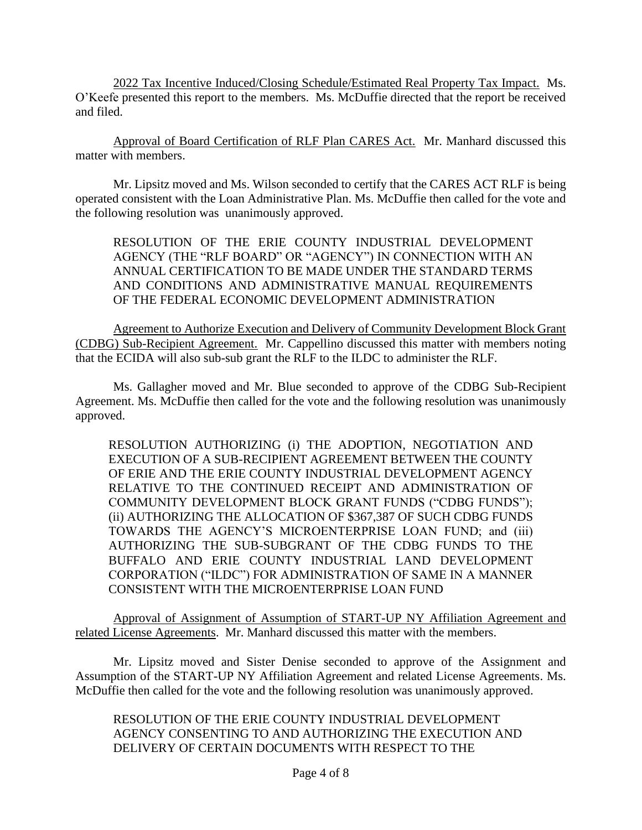2022 Tax Incentive Induced/Closing Schedule/Estimated Real Property Tax Impact. Ms. O'Keefe presented this report to the members. Ms. McDuffie directed that the report be received and filed.

Approval of Board Certification of RLF Plan CARES Act. Mr. Manhard discussed this matter with members.

Mr. Lipsitz moved and Ms. Wilson seconded to certify that the CARES ACT RLF is being operated consistent with the Loan Administrative Plan. Ms. McDuffie then called for the vote and the following resolution was unanimously approved.

RESOLUTION OF THE ERIE COUNTY INDUSTRIAL DEVELOPMENT AGENCY (THE "RLF BOARD" OR "AGENCY") IN CONNECTION WITH AN ANNUAL CERTIFICATION TO BE MADE UNDER THE STANDARD TERMS AND CONDITIONS AND ADMINISTRATIVE MANUAL REQUIREMENTS OF THE FEDERAL ECONOMIC DEVELOPMENT ADMINISTRATION

Agreement to Authorize Execution and Delivery of Community Development Block Grant (CDBG) Sub-Recipient Agreement. Mr. Cappellino discussed this matter with members noting that the ECIDA will also sub-sub grant the RLF to the ILDC to administer the RLF.

Ms. Gallagher moved and Mr. Blue seconded to approve of the CDBG Sub-Recipient Agreement. Ms. McDuffie then called for the vote and the following resolution was unanimously approved.

RESOLUTION AUTHORIZING (i) THE ADOPTION, NEGOTIATION AND EXECUTION OF A SUB-RECIPIENT AGREEMENT BETWEEN THE COUNTY OF ERIE AND THE ERIE COUNTY INDUSTRIAL DEVELOPMENT AGENCY RELATIVE TO THE CONTINUED RECEIPT AND ADMINISTRATION OF COMMUNITY DEVELOPMENT BLOCK GRANT FUNDS ("CDBG FUNDS"); (ii) AUTHORIZING THE ALLOCATION OF \$367,387 OF SUCH CDBG FUNDS TOWARDS THE AGENCY'S MICROENTERPRISE LOAN FUND; and (iii) AUTHORIZING THE SUB-SUBGRANT OF THE CDBG FUNDS TO THE BUFFALO AND ERIE COUNTY INDUSTRIAL LAND DEVELOPMENT CORPORATION ("ILDC") FOR ADMINISTRATION OF SAME IN A MANNER CONSISTENT WITH THE MICROENTERPRISE LOAN FUND

Approval of Assignment of Assumption of START-UP NY Affiliation Agreement and related License Agreements. Mr. Manhard discussed this matter with the members.

Mr. Lipsitz moved and Sister Denise seconded to approve of the Assignment and Assumption of the START-UP NY Affiliation Agreement and related License Agreements. Ms. McDuffie then called for the vote and the following resolution was unanimously approved.

RESOLUTION OF THE ERIE COUNTY INDUSTRIAL DEVELOPMENT AGENCY CONSENTING TO AND AUTHORIZING THE EXECUTION AND DELIVERY OF CERTAIN DOCUMENTS WITH RESPECT TO THE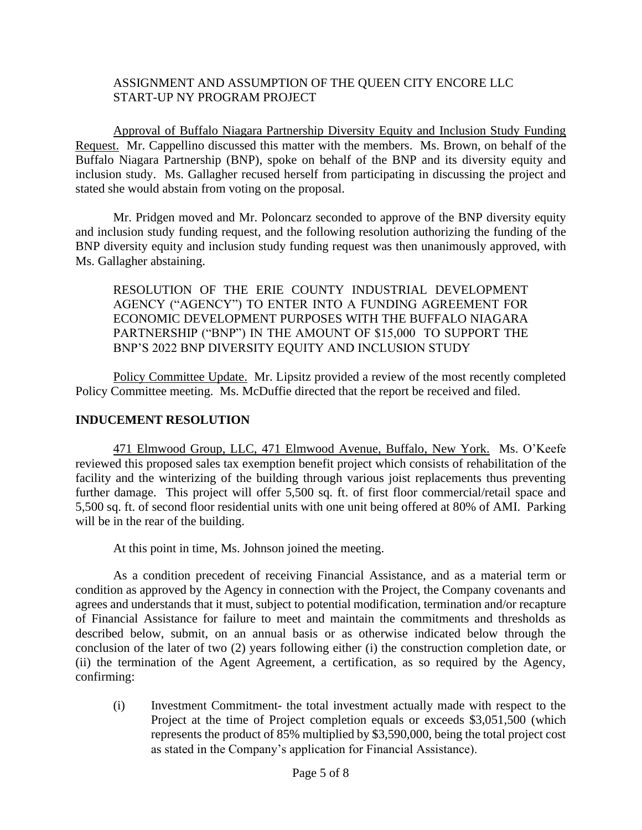#### ASSIGNMENT AND ASSUMPTION OF THE QUEEN CITY ENCORE LLC START-UP NY PROGRAM PROJECT

Approval of Buffalo Niagara Partnership Diversity Equity and Inclusion Study Funding Request. Mr. Cappellino discussed this matter with the members. Ms. Brown, on behalf of the Buffalo Niagara Partnership (BNP), spoke on behalf of the BNP and its diversity equity and inclusion study. Ms. Gallagher recused herself from participating in discussing the project and stated she would abstain from voting on the proposal.

Mr. Pridgen moved and Mr. Poloncarz seconded to approve of the BNP diversity equity and inclusion study funding request, and the following resolution authorizing the funding of the BNP diversity equity and inclusion study funding request was then unanimously approved, with Ms. Gallagher abstaining.

RESOLUTION OF THE ERIE COUNTY INDUSTRIAL DEVELOPMENT AGENCY ("AGENCY") TO ENTER INTO A FUNDING AGREEMENT FOR ECONOMIC DEVELOPMENT PURPOSES WITH THE BUFFALO NIAGARA PARTNERSHIP ("BNP") IN THE AMOUNT OF \$15,000 TO SUPPORT THE BNP'S 2022 BNP DIVERSITY EQUITY AND INCLUSION STUDY

Policy Committee Update. Mr. Lipsitz provided a review of the most recently completed Policy Committee meeting. Ms. McDuffie directed that the report be received and filed.

## **INDUCEMENT RESOLUTION**

471 Elmwood Group, LLC, 471 Elmwood Avenue, Buffalo, New York. Ms. O'Keefe reviewed this proposed sales tax exemption benefit project which consists of rehabilitation of the facility and the winterizing of the building through various joist replacements thus preventing further damage. This project will offer 5,500 sq. ft. of first floor commercial/retail space and 5,500 sq. ft. of second floor residential units with one unit being offered at 80% of AMI. Parking will be in the rear of the building.

At this point in time, Ms. Johnson joined the meeting.

As a condition precedent of receiving Financial Assistance, and as a material term or condition as approved by the Agency in connection with the Project, the Company covenants and agrees and understands that it must, subject to potential modification, termination and/or recapture of Financial Assistance for failure to meet and maintain the commitments and thresholds as described below, submit, on an annual basis or as otherwise indicated below through the conclusion of the later of two (2) years following either (i) the construction completion date, or (ii) the termination of the Agent Agreement, a certification, as so required by the Agency, confirming:

(i) Investment Commitment- the total investment actually made with respect to the Project at the time of Project completion equals or exceeds \$3,051,500 (which represents the product of 85% multiplied by \$3,590,000, being the total project cost as stated in the Company's application for Financial Assistance).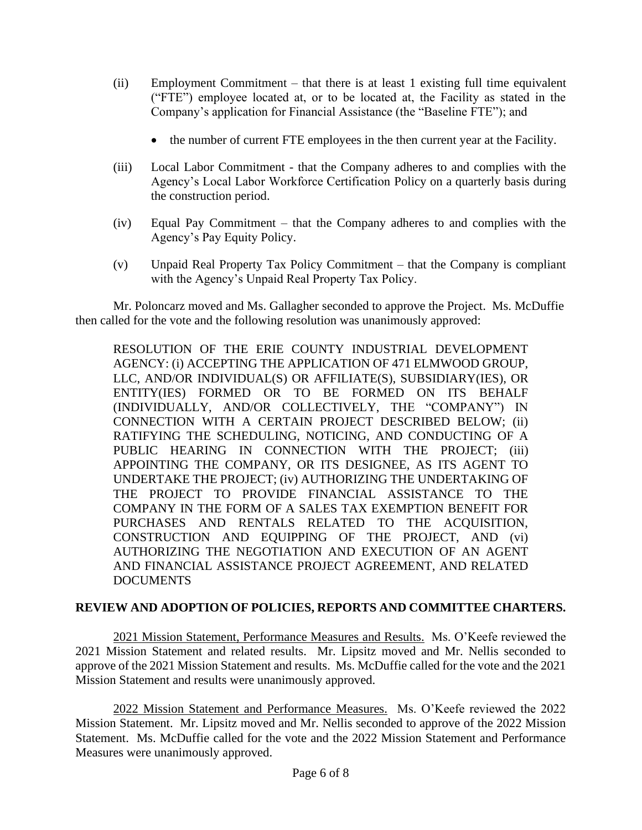- (ii) Employment Commitment that there is at least 1 existing full time equivalent ("FTE") employee located at, or to be located at, the Facility as stated in the Company's application for Financial Assistance (the "Baseline FTE"); and
	- the number of current FTE employees in the then current year at the Facility.
- (iii) Local Labor Commitment that the Company adheres to and complies with the Agency's Local Labor Workforce Certification Policy on a quarterly basis during the construction period.
- (iv) Equal Pay Commitment that the Company adheres to and complies with the Agency's Pay Equity Policy.
- (v) Unpaid Real Property Tax Policy Commitment that the Company is compliant with the Agency's Unpaid Real Property Tax Policy.

Mr. Poloncarz moved and Ms. Gallagher seconded to approve the Project. Ms. McDuffie then called for the vote and the following resolution was unanimously approved:

RESOLUTION OF THE ERIE COUNTY INDUSTRIAL DEVELOPMENT AGENCY: (i) ACCEPTING THE APPLICATION OF 471 ELMWOOD GROUP, LLC, AND/OR INDIVIDUAL(S) OR AFFILIATE(S), SUBSIDIARY(IES), OR ENTITY(IES) FORMED OR TO BE FORMED ON ITS BEHALF (INDIVIDUALLY, AND/OR COLLECTIVELY, THE "COMPANY") IN CONNECTION WITH A CERTAIN PROJECT DESCRIBED BELOW; (ii) RATIFYING THE SCHEDULING, NOTICING, AND CONDUCTING OF A PUBLIC HEARING IN CONNECTION WITH THE PROJECT; (iii) APPOINTING THE COMPANY, OR ITS DESIGNEE, AS ITS AGENT TO UNDERTAKE THE PROJECT; (iv) AUTHORIZING THE UNDERTAKING OF THE PROJECT TO PROVIDE FINANCIAL ASSISTANCE TO THE COMPANY IN THE FORM OF A SALES TAX EXEMPTION BENEFIT FOR PURCHASES AND RENTALS RELATED TO THE ACQUISITION, CONSTRUCTION AND EQUIPPING OF THE PROJECT, AND (vi) AUTHORIZING THE NEGOTIATION AND EXECUTION OF AN AGENT AND FINANCIAL ASSISTANCE PROJECT AGREEMENT, AND RELATED DOCUMENTS

# **REVIEW AND ADOPTION OF POLICIES, REPORTS AND COMMITTEE CHARTERS.**

2021 Mission Statement, Performance Measures and Results. Ms. O'Keefe reviewed the 2021 Mission Statement and related results. Mr. Lipsitz moved and Mr. Nellis seconded to approve of the 2021 Mission Statement and results. Ms. McDuffie called for the vote and the 2021 Mission Statement and results were unanimously approved.

2022 Mission Statement and Performance Measures. Ms. O'Keefe reviewed the 2022 Mission Statement. Mr. Lipsitz moved and Mr. Nellis seconded to approve of the 2022 Mission Statement. Ms. McDuffie called for the vote and the 2022 Mission Statement and Performance Measures were unanimously approved.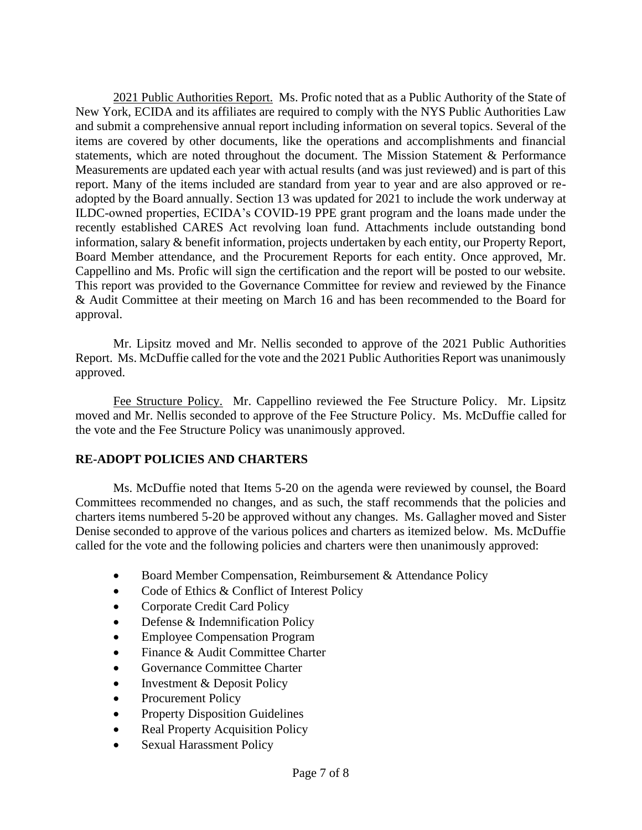2021 Public Authorities Report. Ms. Profic noted that as a Public Authority of the State of New York, ECIDA and its affiliates are required to comply with the NYS Public Authorities Law and submit a comprehensive annual report including information on several topics. Several of the items are covered by other documents, like the operations and accomplishments and financial statements, which are noted throughout the document. The Mission Statement & Performance Measurements are updated each year with actual results (and was just reviewed) and is part of this report. Many of the items included are standard from year to year and are also approved or readopted by the Board annually. Section 13 was updated for 2021 to include the work underway at ILDC-owned properties, ECIDA's COVID-19 PPE grant program and the loans made under the recently established CARES Act revolving loan fund. Attachments include outstanding bond information, salary & benefit information, projects undertaken by each entity, our Property Report, Board Member attendance, and the Procurement Reports for each entity. Once approved, Mr. Cappellino and Ms. Profic will sign the certification and the report will be posted to our website. This report was provided to the Governance Committee for review and reviewed by the Finance & Audit Committee at their meeting on March 16 and has been recommended to the Board for approval.

Mr. Lipsitz moved and Mr. Nellis seconded to approve of the 2021 Public Authorities Report. Ms. McDuffie called for the vote and the 2021 Public Authorities Report was unanimously approved.

Fee Structure Policy. Mr. Cappellino reviewed the Fee Structure Policy. Mr. Lipsitz moved and Mr. Nellis seconded to approve of the Fee Structure Policy. Ms. McDuffie called for the vote and the Fee Structure Policy was unanimously approved.

## **RE-ADOPT POLICIES AND CHARTERS**

Ms. McDuffie noted that Items 5-20 on the agenda were reviewed by counsel, the Board Committees recommended no changes, and as such, the staff recommends that the policies and charters items numbered 5-20 be approved without any changes. Ms. Gallagher moved and Sister Denise seconded to approve of the various polices and charters as itemized below. Ms. McDuffie called for the vote and the following policies and charters were then unanimously approved:

- Board Member Compensation, Reimbursement & Attendance Policy
- Code of Ethics & Conflict of Interest Policy
- Corporate Credit Card Policy
- Defense & Indemnification Policy
- Employee Compensation Program
- Finance & Audit Committee Charter
- Governance Committee Charter
- Investment & Deposit Policy
- Procurement Policy
- Property Disposition Guidelines
- Real Property Acquisition Policy
- Sexual Harassment Policy